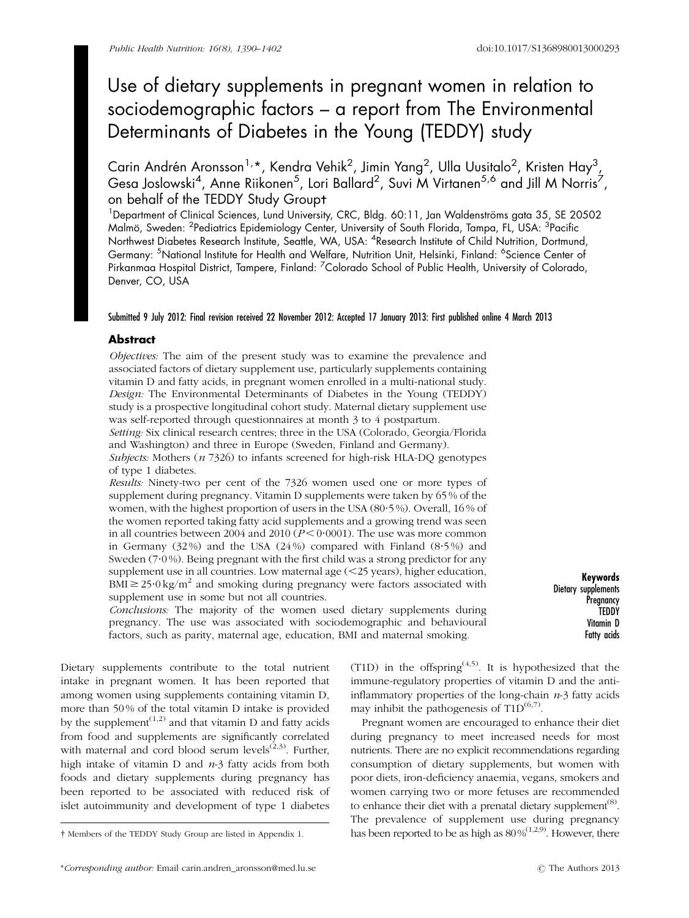# Use of dietary supplements in pregnant women in relation to sociodemographic factors – a report from The Environmental Determinants of Diabetes in the Young (TEDDY) study

Carin Andrén Aronsson<sup>1,</sup>\*, Kendra Vehik<sup>2</sup>, Jimin Yang<sup>2</sup>, Ulla Uusitalo<sup>2</sup>, Kristen Hay<sup>3</sup>, Gesa Joslowski<sup>4</sup>, Anne Riikonen<sup>5</sup>, Lori Ballard<sup>2</sup>, Suvi M Virtanen<sup>5,6</sup> and Jill M Norris<sup>7</sup>, on behalf of the TEDDY Study Groupt

<sup>1</sup>Department of Clinical Sciences, Lund University, CRC, Bldg. 60:11, Jan Waldenströms gata 35, SE 20502 Malmö, Sweden: <sup>2</sup>Pediatrics Epidemiology Center, University of South Florida, Tampa, FL, USA: <sup>3</sup>Pacific Northwest Diabetes Research Institute, Seattle, WA, USA: <sup>4</sup>Research Institute of Child Nutrition, Dortmund, Germany: <sup>5</sup>National Institute for Health and Welfare, Nutrition Unit, Helsinki, Finland: <sup>6</sup>Science Center of Pirkanmaa Hospital District, Tampere, Finland: <sup>7</sup>Colorado School of Public Health, University of Colorado, Denver, CO, USA

# Submitted 9 July 2012: Final revision received 22 November 2012: Accepted 17 January 2013: First published online 4 March 2013

# Abstract

Objectives: The aim of the present study was to examine the prevalence and associated factors of dietary supplement use, particularly supplements containing vitamin D and fatty acids, in pregnant women enrolled in a multi-national study. Design: The Environmental Determinants of Diabetes in the Young (TEDDY) study is a prospective longitudinal cohort study. Maternal dietary supplement use was self-reported through questionnaires at month 3 to 4 postpartum.

Setting: Six clinical research centres; three in the USA (Colorado, Georgia/Florida and Washington) and three in Europe (Sweden, Finland and Germany).

Subjects: Mothers  $(n \text{ 7326})$  to infants screened for high-risk HLA-DQ genotypes of type 1 diabetes.

Results: Ninety-two per cent of the 7326 women used one or more types of supplement during pregnancy. Vitamin D supplements were taken by 65 % of the women, with the highest proportion of users in the USA (80?5 %). Overall, 16 % of the women reported taking fatty acid supplements and a growing trend was seen in all countries between 2004 and 2010 ( $P < 0.0001$ ). The use was more common in Germany  $(32\%)$  and the USA  $(24\%)$  compared with Finland  $(8.5\%)$  and Sweden  $(7.0\%)$ . Being pregnant with the first child was a strong predictor for any supplement use in all countries. Low maternal age  $\left( \langle 25 \rangle \right)$ , higher education,  $BMI \geq 25.0 \text{ kg/m}^2$  and smoking during pregnancy were factors associated with supplement use in some but not all countries.

Keywords Dietary supplements **Pregnancy TEDDY** Vitamin D Fatty acids

Conclusions: The majority of the women used dietary supplements during pregnancy. The use was associated with sociodemographic and behavioural factors, such as parity, maternal age, education, BMI and maternal smoking.

Dietary supplements contribute to the total nutrient intake in pregnant women. It has been reported that among women using supplements containing vitamin D, more than 50 % of the total vitamin D intake is provided by the supplement<sup> $(1,2)$  $(1,2)$ </sup> and that vitamin D and fatty acids from food and supplements are significantly correlated with maternal and cord blood serum levels $(2,3)$  $(2,3)$ . Further, high intake of vitamin  $D$  and  $n-3$  fatty acids from both foods and dietary supplements during pregnancy has been reported to be associated with reduced risk of islet autoimmunity and development of type 1 diabetes

(T1D) in the offspring<sup> $(4,5)$  $(4,5)$  $(4,5)$ </sup>. It is hypothesized that the immune-regulatory properties of vitamin D and the antiinflammatory properties of the long-chain  $n-3$  fatty acids may inhibit the pathogenesis of  $T1D^{(6,7)}$  $T1D^{(6,7)}$  $T1D^{(6,7)}$ .

Pregnant women are encouraged to enhance their diet during pregnancy to meet increased needs for most nutrients. There are no explicit recommendations regarding consumption of dietary supplements, but women with poor diets, iron-deficiency anaemia, vegans, smokers and women carrying two or more fetuses are recommended to enhance their diet with a prenatal dietary supplement<sup>([8\)](#page-10-0)</sup>. The prevalence of supplement use during pregnancy <sup>†</sup> Members of the TEDDY Study Group are listed in Appendix 1. has been reported to be as high as  $80\%^{(1,2,9)}$  $80\%^{(1,2,9)}$  $80\%^{(1,2,9)}$  $80\%^{(1,2,9)}$  $80\%^{(1,2,9)}$  $80\%^{(1,2,9)}$ . However, there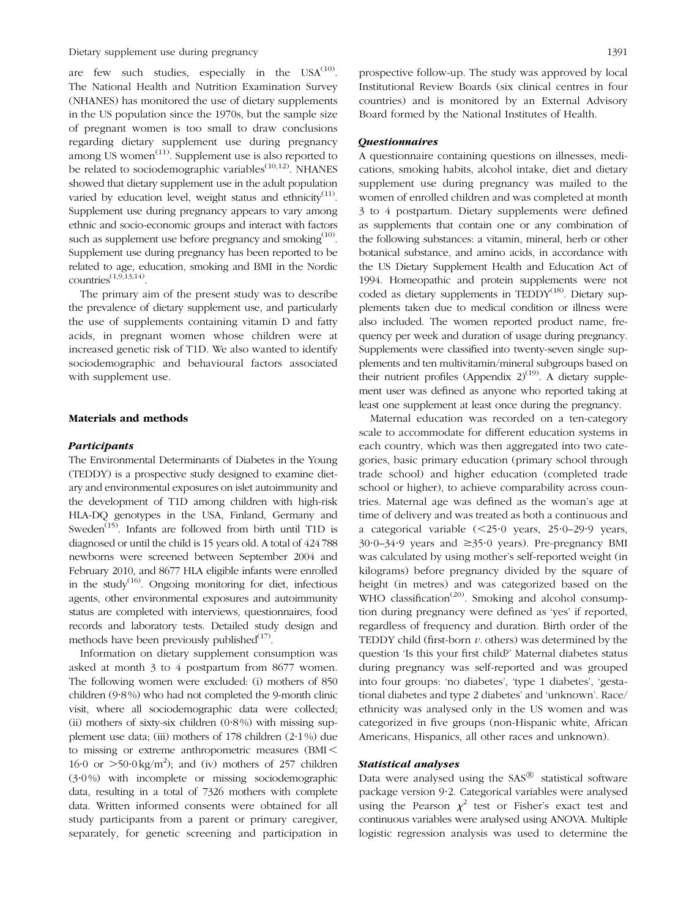Dietary supplement use during pregnancy 1391

are few such studies, especially in the  $USA^{(10)}$  $USA^{(10)}$  $USA^{(10)}$ . The National Health and Nutrition Examination Survey (NHANES) has monitored the use of dietary supplements in the US population since the 1970s, but the sample size of pregnant women is too small to draw conclusions regarding dietary supplement use during pregnancy among US women $(11)$  $(11)$ . Supplement use is also reported to be related to sociodemographic variables<sup> $(10,12)$  $(10,12)$ </sup>. NHANES showed that dietary supplement use in the adult population varied by education level, weight status and ethnicity<sup>[\(11](#page-10-0))</sup>. Supplement use during pregnancy appears to vary among ethnic and socio-economic groups and interact with factors such as supplement use before pregnancy and smoking<sup>[\(10](#page-10-0))</sup>. Supplement use during pregnancy has been reported to be related to age, education, smoking and BMI in the Nordic  $countries$ <sup> $(1,9,13,14)$  $(1,9,13,14)$  $(1,9,13,14)$  $(1,9,13,14)$ </sup>.

The primary aim of the present study was to describe the prevalence of dietary supplement use, and particularly the use of supplements containing vitamin D and fatty acids, in pregnant women whose children were at increased genetic risk of T1D. We also wanted to identify sociodemographic and behavioural factors associated with supplement use.

#### Materials and methods

#### Participants

The Environmental Determinants of Diabetes in the Young (TEDDY) is a prospective study designed to examine dietary and environmental exposures on islet autoimmunity and the development of T1D among children with high-risk HLA-DQ genotypes in the USA, Finland, Germany and Sweden<sup>[\(15\)](#page-10-0)</sup>. Infants are followed from birth until T1D is diagnosed or until the child is 15 years old. A total of 424 788 newborns were screened between September 2004 and February 2010, and 8677 HLA eligible infants were enrolled in the study<sup>([16](#page-10-0))</sup>. Ongoing monitoring for diet, infectious agents, other environmental exposures and autoimmunity status are completed with interviews, questionnaires, food records and laboratory tests. Detailed study design and methods have been previously published $^{(17)}$  $^{(17)}$  $^{(17)}$ .

Information on dietary supplement consumption was asked at month 3 to 4 postpartum from 8677 women. The following women were excluded: (i) mothers of 850 children (9.8%) who had not completed the 9-month clinic visit, where all sociodemographic data were collected; (ii) mothers of sixty-six children  $(0.8\%)$  with missing supplement use data; (iii) mothers of  $178$  children  $(2.1\%)$  due to missing or extreme anthropometric measures  $(BMI <$ 16.0 or  $>50.0 \text{ kg/m}^2$ ); and (iv) mothers of 257 children (3?0 %) with incomplete or missing sociodemographic data, resulting in a total of 7326 mothers with complete data. Written informed consents were obtained for all study participants from a parent or primary caregiver, separately, for genetic screening and participation in

## **Questionnaires**

A questionnaire containing questions on illnesses, medications, smoking habits, alcohol intake, diet and dietary supplement use during pregnancy was mailed to the women of enrolled children and was completed at month 3 to 4 postpartum. Dietary supplements were defined as supplements that contain one or any combination of the following substances: a vitamin, mineral, herb or other botanical substance, and amino acids, in accordance with the US Dietary Supplement Health and Education Act of 1994. Homeopathic and protein supplements were not coded as dietary supplements in  $TEDDY<sup>(18)</sup>$  $TEDDY<sup>(18)</sup>$  $TEDDY<sup>(18)</sup>$ . Dietary supplements taken due to medical condition or illness were also included. The women reported product name, frequency per week and duration of usage during pregnancy. Supplements were classified into twenty-seven single supplements and ten multivitamin/mineral subgroups based on their nutrient profiles (Appendix  $2)^{(19)}$  $2)^{(19)}$  $2)^{(19)}$ . A dietary supplement user was defined as anyone who reported taking at least one supplement at least once during the pregnancy.

Maternal education was recorded on a ten-category scale to accommodate for different education systems in each country, which was then aggregated into two categories, basic primary education (primary school through trade school) and higher education (completed trade school or higher), to achieve comparability across countries. Maternal age was defined as the woman's age at time of delivery and was treated as both a continuous and a categorical variable  $(\leq 25.0 \text{ years}, 25.0-29.9 \text{ years},$  $30.0-34.9$  years and  $\geq 35.0$  years). Pre-pregnancy BMI was calculated by using mother's self-reported weight (in kilograms) before pregnancy divided by the square of height (in metres) and was categorized based on the WHO classification<sup> $(20)$  $(20)$ </sup>. Smoking and alcohol consumption during pregnancy were defined as 'yes' if reported, regardless of frequency and duration. Birth order of the TEDDY child (first-born  $v$ , others) was determined by the question 'Is this your first child?' Maternal diabetes status during pregnancy was self-reported and was grouped into four groups: 'no diabetes', 'type 1 diabetes', 'gestational diabetes and type 2 diabetes' and 'unknown'. Race/ ethnicity was analysed only in the US women and was categorized in five groups (non-Hispanic white, African Americans, Hispanics, all other races and unknown).

### Statistical analyses

Data were analysed using the  $SAS^{\circledR}$  statistical software package version 9.2. Categorical variables were analysed using the Pearson  $\chi^2$  test or Fisher's exact test and continuous variables were analysed using ANOVA. Multiple logistic regression analysis was used to determine the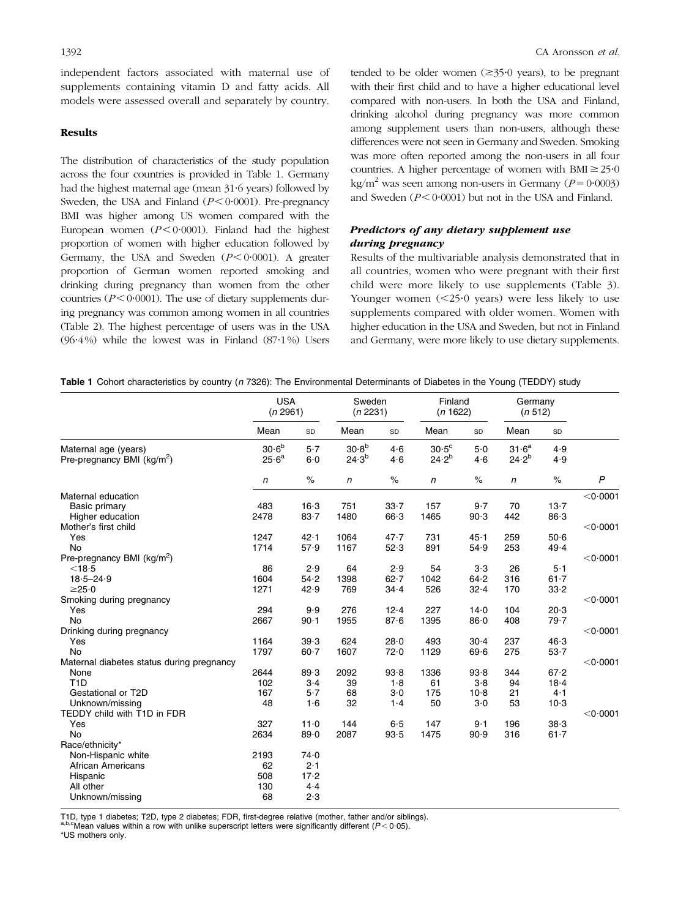independent factors associated with maternal use of supplements containing vitamin D and fatty acids. All models were assessed overall and separately by country.

## Results

The distribution of characteristics of the study population across the four countries is provided in Table 1. Germany had the highest maternal age (mean 31.6 years) followed by Sweden, the USA and Finland  $(P < 0.0001)$ . Pre-pregnancy BMI was higher among US women compared with the European women  $(P<0.0001)$ . Finland had the highest proportion of women with higher education followed by Germany, the USA and Sweden  $(P<0.0001)$ . A greater proportion of German women reported smoking and drinking during pregnancy than women from the other countries ( $P < 0.0001$ ). The use of dietary supplements during pregnancy was common among women in all countries ([Table 2\)](#page-3-0). The highest percentage of users was in the USA (96 $\cdot$ 4%) while the lowest was in Finland (87 $\cdot$ 1%) Users tended to be older women  $(\geq 35.0 \text{ years})$ , to be pregnant with their first child and to have a higher educational level compared with non-users. In both the USA and Finland, drinking alcohol during pregnancy was more common among supplement users than non-users, although these differences were not seen in Germany and Sweden. Smoking was more often reported among the non-users in all four countries. A higher percentage of women with  $BMI \ge 25.0$ kg/m<sup>2</sup> was seen among non-users in Germany ( $P=0.0003$ ) and Sweden  $(P < 0.0001)$  but not in the USA and Finland.

# Predictors of any dietary supplement use during pregnancy

Results of the multivariable analysis demonstrated that in all countries, women who were pregnant with their first child were more likely to use supplements ([Table 3\)](#page-4-0). Younger women  $(<25.0$  years) were less likely to use supplements compared with older women. Women with higher education in the USA and Sweden, but not in Finland and Germany, were more likely to use dietary supplements.

|  |  |  |  | Table 1 Cohort characteristics by country (n 7326): The Environmental Determinants of Diabetes in the Young (TEDDY) study |  |  |  |  |  |
|--|--|--|--|---------------------------------------------------------------------------------------------------------------------------|--|--|--|--|--|
|--|--|--|--|---------------------------------------------------------------------------------------------------------------------------|--|--|--|--|--|

|                                                       | <b>USA</b><br>(n 2961)             |            | Sweden<br>(n 2231)              |            | Finland<br>(n 1622)          |            | Germany<br>(n 512)              |            |                    |
|-------------------------------------------------------|------------------------------------|------------|---------------------------------|------------|------------------------------|------------|---------------------------------|------------|--------------------|
|                                                       | Mean                               | SD         | Mean                            | SD         | Mean                         | SD         | Mean                            | SD         |                    |
| Maternal age (years)<br>Pre-pregnancy BMI ( $kg/m2$ ) | $30\!\cdot\!6^{\rm b}$<br>$25.6^a$ | 5.7<br>6.0 | 30.8 <sup>b</sup><br>$24.3^{b}$ | 4.6<br>4.6 | $30.5^{\circ}$<br>$24.2^{b}$ | 5.0<br>4.6 | 31.6 <sup>a</sup><br>$24.2^{b}$ | 4.9<br>4.9 |                    |
|                                                       | $\mathsf{n}$                       | $\%$       | $\sqrt{n}$                      | $\%$       | $\sqrt{n}$                   | $\%$       | $\sqrt{n}$                      | $\%$       | $\overline{P}$     |
| Maternal education                                    |                                    |            |                                 |            |                              |            |                                 |            | $<$ 0 $\cdot$ 0001 |
| Basic primary                                         | 483                                | $16-3$     | 751                             | 33.7       | 157                          | 9.7        | 70                              | 13.7       |                    |
| Higher education                                      | 2478                               | $83 - 7$   | 1480                            | 66.3       | 1465                         | 90.3       | 442                             | 86.3       |                    |
| Mother's first child                                  |                                    |            |                                 |            |                              |            |                                 |            | $<$ 0 $\cdot$ 0001 |
| Yes                                                   | 1247                               | 42.1       | 1064                            | 47.7       | 731                          | 45.1       | 259                             | $50-6$     |                    |
| <b>No</b>                                             | 1714                               | 57.9       | 1167                            | 52.3       | 891                          | 54.9       | 253                             | 49.4       |                    |
| Pre-pregnancy BMI ( $kg/m2$ )                         |                                    |            |                                 |            |                              |            |                                 |            | $<$ 0 $\cdot$ 0001 |
| $<$ 18 $\cdot$ 5                                      | 86                                 | 2.9        | 64                              | 2.9        | 54                           | 3·3        | 26                              | $5-1$      |                    |
| $18.5 - 24.9$                                         | 1604                               | 54.2       | 1398                            | 62.7       | 1042                         | 64.2       | 316                             | $61 - 7$   |                    |
| $\geq$ 25 $\cdot$ 0                                   | 1271                               | 42.9       | 769                             | $34 - 4$   | 526                          | 32.4       | 170                             | 33.2       |                    |
| Smoking during pregnancy                              |                                    |            |                                 |            |                              |            |                                 |            | < 0.0001           |
| Yes                                                   | 294                                | 9.9        | 276                             | 12.4       | 227                          | $14-0$     | 104                             | 20.3       |                    |
| <b>No</b>                                             | 2667                               | $90 - 1$   | 1955                            | 87.6       | 1395                         | $86 - 0$   | 408                             | 79.7       |                    |
| Drinking during pregnancy                             |                                    |            |                                 |            |                              |            |                                 |            | $<$ 0 $\cdot$ 0001 |
| Yes                                                   | 1164                               | 39.3       | 624                             | 28.0       | 493                          | $30-4$     | 237                             | 46.3       |                    |
| <b>No</b>                                             | 1797                               | $60 - 7$   | 1607                            | 72.0       | 1129                         | 69.6       | 275                             | $53 - 7$   |                    |
| Maternal diabetes status during pregnancy             |                                    |            |                                 |            |                              |            |                                 |            | $<$ 0 $\cdot$ 0001 |
| None                                                  | 2644                               | 89.3       | 2092                            | 93.8       | 1336                         | 93.8       | 344                             | 67.2       |                    |
| T <sub>1</sub> D                                      | 102                                | $3-4$      | 39                              | 1.8        | 61                           | 3.8        | 94                              | 18.4       |                    |
| Gestational or T2D                                    | 167                                | 5.7        | 68                              | $3-0$      | 175                          | $10-8$     | 21                              | $4-1$      |                    |
| Unknown/missing                                       | 48                                 | 1.6        | 32                              | 1.4        | 50                           | $3-0$      | 53                              | $10-3$     |                    |
| TEDDY child with T1D in FDR                           |                                    |            |                                 |            |                              |            |                                 |            | $<$ 0 $\cdot$ 0001 |
| Yes                                                   | 327                                | 11.0       | 144                             | $6-5$      | 147                          | $9-1$      | 196                             | 38.3       |                    |
| No                                                    | 2634                               | 89.0       | 2087                            | 93.5       | 1475                         | 90.9       | 316                             | $61 - 7$   |                    |
| Race/ethnicity*                                       |                                    |            |                                 |            |                              |            |                                 |            |                    |
| Non-Hispanic white                                    | 2193                               | 74.0       |                                 |            |                              |            |                                 |            |                    |
| <b>African Americans</b>                              | 62                                 | 2.1        |                                 |            |                              |            |                                 |            |                    |
| Hispanic                                              | 508                                | 17.2       |                                 |            |                              |            |                                 |            |                    |
| All other                                             | 130                                | 4.4        |                                 |            |                              |            |                                 |            |                    |
| Unknown/missing                                       | 68                                 | 2.3        |                                 |            |                              |            |                                 |            |                    |

T1D, type 1 diabetes; T2D, type 2 diabetes; FDR, first-degree relative (mother, father and/or siblings).<br><sup>a,b,c</sup>Mean values within a row with unlike superscript letters were significantly different (P<0·05).

\*US mothers only.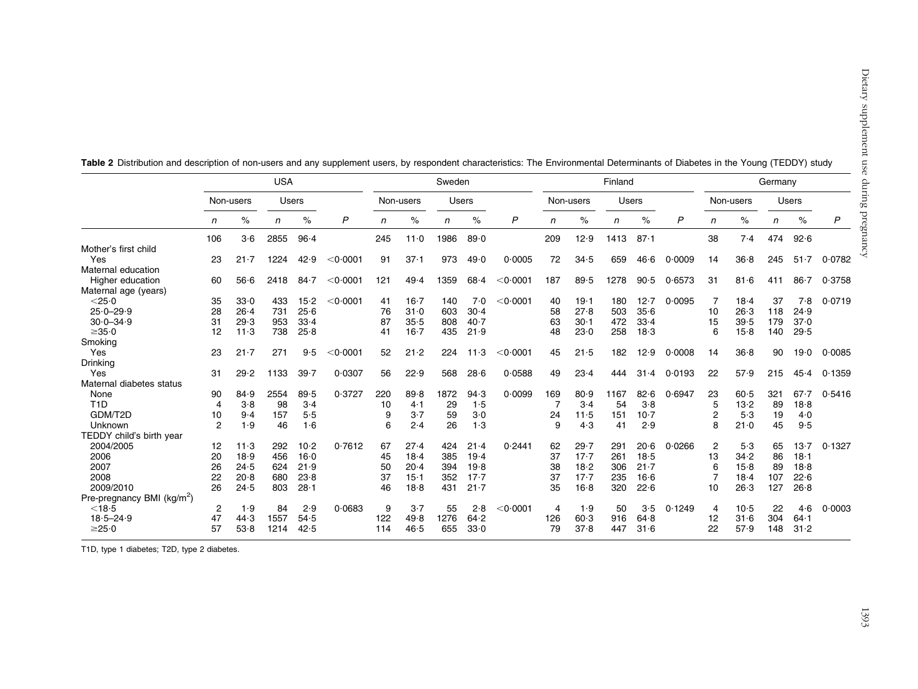|                                        | <b>USA</b>     |          |      |              |                    | Sweden |           |      |              | Finland            |     |           |      | Germany  |              |                |           |     |              |                |
|----------------------------------------|----------------|----------|------|--------------|--------------------|--------|-----------|------|--------------|--------------------|-----|-----------|------|----------|--------------|----------------|-----------|-----|--------------|----------------|
|                                        | Non-users      |          |      | <b>Users</b> |                    |        | Non-users |      | <b>Users</b> |                    |     | Non-users |      | Users    |              |                | Non-users |     | <b>Users</b> |                |
|                                        | n              | $\%$     | n    | $\%$         | P                  | n      | $\%$      | n    | $\%$         | P                  | n   | $\%$      | n    | $\%$     | $\mathsf{P}$ | n              | $\%$      | n   | $\%$         | $\overline{P}$ |
|                                        | 106            | 3·6      | 2855 | $96 - 4$     |                    | 245    | 11.0      | 1986 | 89.0         |                    | 209 | 12.9      | 1413 | 87.1     |              | 38             | 7.4       | 474 | 92.6         |                |
| Mother's first child                   |                |          |      |              |                    |        |           |      |              |                    |     |           |      |          |              |                |           |     |              |                |
| Yes                                    | 23             | $21 - 7$ | 1224 | 42.9         | $<$ 0 $\cdot$ 0001 | 91     | $37 - 1$  | 973  | 49.0         | 0.0005             | 72  | 34.5      | 659  | 46.6     | 0.0009       | 14             | 36.8      | 245 | $51 - 7$     | 0.0782         |
| Maternal education                     |                |          |      |              |                    |        |           |      |              |                    |     |           |      |          |              |                |           |     |              |                |
| Higher education                       | 60             | 56.6     | 2418 | $84 - 7$     | $<$ 0 $\cdot$ 0001 | 121    | 49.4      | 1359 | 68.4         | $<$ 0.0001         | 187 | 89.5      | 1278 | 90.5     | 0.6573       | 31             | 81.6      | 411 | $86 - 7$     | 0.3758         |
| Maternal age (years)                   |                |          |      |              |                    |        |           |      |              |                    |     |           |      |          |              |                |           |     |              |                |
| $<$ 25 $\cdot$ 0                       | 35             | 33.0     | 433  | $15 - 2$     | $<$ 0 $\cdot$ 0001 | 41     | $16 - 7$  | 140  | 7.0          | $<$ 0.0001         | 40  | 19.1      | 180  | 12.7     | 0.0095       | -7             | 18.4      | 37  | 7.8          | 0.0719         |
| $25.0 - 29.9$                          | 28             | 26.4     | 731  | 25.6         |                    | 76     | 31.0      | 603  | 30.4         |                    | 58  | 27.8      | 503  | 35.6     |              | 10             | 26.3      | 118 | 24.9         |                |
| $30.0 - 34.9$                          | 31             | 29.3     | 953  | 33.4         |                    | 87     | 35.5      | 808  | 40.7         |                    | 63  | $30 - 1$  | 472  | 33.4     |              | 15             | 39.5      | 179 | 37.0         |                |
| $\geq 35.0$                            | 12             | $11-3$   | 738  | 25.8         |                    | 41     | $16 - 7$  | 435  | 21.9         |                    | 48  | 23.0      | 258  | 18.3     |              | 6              | 15.8      | 140 | 29.5         |                |
| Smoking                                |                |          |      |              |                    |        |           |      |              |                    |     |           |      |          |              |                |           |     |              |                |
| Yes                                    | 23             | $21 - 7$ | 271  | 9.5          | $<$ 0 $\cdot$ 0001 | 52     | 21.2      | 224  | 11.3         | $<$ 0.0001         | 45  | 21.5      | 182  | 12.9     | 0.0008       | 14             | $36 - 8$  | 90  | 19.0         | 0.0085         |
| Drinking                               |                |          |      |              |                    |        |           |      |              |                    |     |           |      |          |              |                |           |     |              |                |
| Yes                                    | 31             | 29.2     | 1133 | 39.7         | 0.0307             | 56     | 22.9      | 568  | 28.6         | 0.0588             | 49  | 23.4      | 444  | $31 - 4$ | 0.0193       | 22             | 57.9      | 215 | 45.4         | 0.1359         |
| Maternal diabetes status               |                |          |      |              |                    |        |           |      |              |                    |     |           |      |          |              |                |           |     |              |                |
| None                                   | 90             | 84.9     | 2554 | 89.5         | 0.3727             | 220    | 89.8      | 1872 | 94.3         | 0.0099             | 169 | 80.9      | 1167 | 82.6     | 0.6947       | 23             | 60.5      | 321 | 67.7         | 0.5416         |
| T <sub>1</sub> D                       | 4              | 3.8      | 98   | $3-4$        |                    | 10     | 4·1       | 29   | 1.5          |                    |     | $3-4$     | 54   | $3-8$    |              | 5              | 13.2      | 89  | 18.8         |                |
| GDM/T2D                                | 10             | 9.4      | 157  | 5.5          |                    | 9      | 3.7       | 59   | 3.0          |                    | 24  | 11.5      | 151  | $10-7$   |              | $\overline{2}$ | 5.3       | 19  | 4.0          |                |
| Unknown                                | $\overline{2}$ | 1.9      | 46   | 1·6          |                    | 6      | 2.4       | 26   | 1.3          |                    | 9   | 4.3       | 41   | 2.9      |              | 8              | $21 - 0$  | 45  | 9.5          |                |
| TEDDY child's birth year               |                |          |      |              |                    |        |           |      |              |                    |     |           |      |          |              |                |           |     |              |                |
| 2004/2005                              | 12             | 11.3     | 292  | $10-2$       | 0.7612             | 67     | 27.4      | 424  | 21.4         | 0.2441             | 62  | 29.7      | 291  | 20.6     | 0.0266       | $\overline{2}$ | 5.3       | 65  | 13.7         | 0.1327         |
| 2006                                   | 20             | 18.9     | 456  | $16 - 0$     |                    | 45     | 18.4      | 385  | 19.4         |                    | 37  | $17 - 7$  | 261  | 18.5     |              | 13             | 34.2      | 86  | 18.1         |                |
| 2007                                   | 26             | 24.5     | 624  | 21.9         |                    | 50     | 20.4      | 394  | 19.8         |                    | 38  | 18.2      | 306  | 21.7     |              | 6              | $15-8$    | 89  | 18.8         |                |
| 2008                                   | 22             | 20.8     | 680  | 23.8         |                    | 37     | $15 - 1$  | 352  | 17.7         |                    | 37  | $17 - 7$  | 235  | 16.6     |              |                | $18 - 4$  | 107 | 22.6         |                |
| 2009/2010                              | 26             | 24.5     | 803  | $28 - 1$     |                    | 46     | 18.8      | 431  | $21 - 7$     |                    | 35  | 16.8      | 320  | 22.6     |              | 10             | 26.3      | 127 | 26.8         |                |
| Pre-pregnancy BMI (kg/m <sup>2</sup> ) |                |          |      |              |                    |        |           |      |              |                    |     |           |      |          |              |                |           |     |              |                |
| $<$ 18 $\cdot$ 5                       | $\overline{2}$ | 1.9      | 84   | 2.9          | 0.0683             | 9      | 3.7       | 55   | 2.8          | $<$ 0 $\cdot$ 0001 | 4   | 1.9       | 50   | 3.5      | 0.1249       | 4              | $10-5$    | 22  | 4.6          | 0.0003         |
| $18.5 - 24.9$                          | 47             | 44.3     | 1557 | 54.5         |                    | 122    | 49.8      | 1276 | 64.2         |                    | 126 | 60.3      | 916  | 64.8     |              | 12             | 31.6      | 304 | $64 - 1$     |                |
| $\geq$ 25 $\cdot$ 0                    | 57             | 53.8     | 1214 | 42.5         |                    | 114    | 46.5      | 655  | 33.0         |                    | 79  | 37.8      | 447  | 31.6     |              | 22             | 57.9      | 148 | 31.2         |                |

<span id="page-3-0"></span>Table 2 Distribution and description of non-users and any supplement users, by respondent characteristics: The Environmental Determinants of Diabetes in the Young (TEDDY) study

T1D, type 1 diabetes; T2D, type 2 diabetes.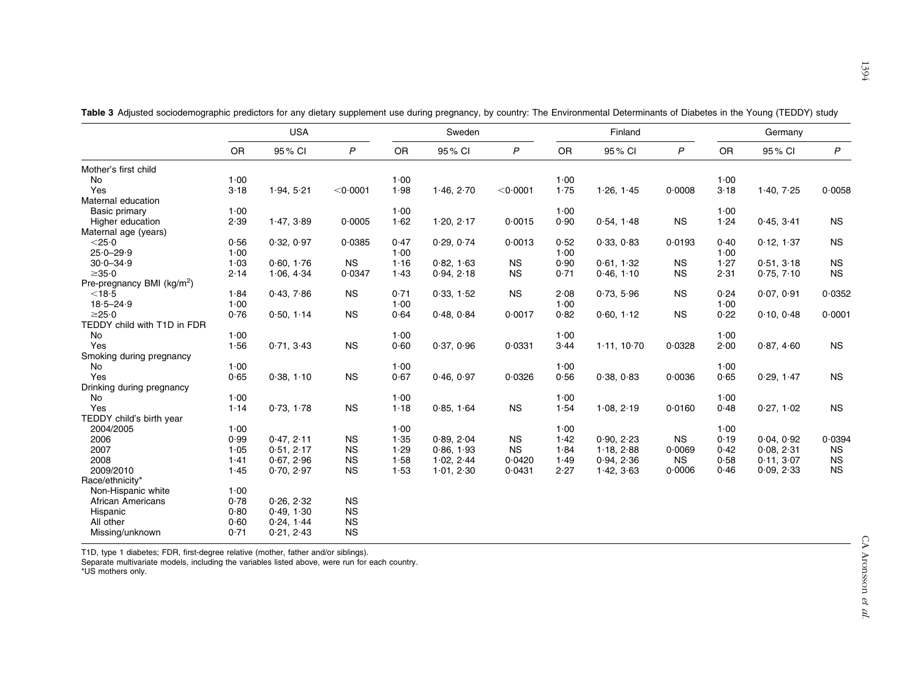|                                        |      | <b>USA</b> |                    |      | Sweden     |                    |      | Finland     |              | Germany |            |              |  |
|----------------------------------------|------|------------|--------------------|------|------------|--------------------|------|-------------|--------------|---------|------------|--------------|--|
|                                        | OR   | 95% CI     | P                  | OR   | 95% CI     | $\boldsymbol{P}$   | OR   | 95% CI      | $\mathsf{P}$ | OR      | 95% CI     | $\mathsf{P}$ |  |
| Mother's first child                   |      |            |                    |      |            |                    |      |             |              |         |            |              |  |
| No                                     | 1.00 |            |                    | 1.00 |            |                    | 1.00 |             |              | 1.00    |            |              |  |
| Yes                                    | 3.18 | 1.94, 5.21 | $<$ 0 $\cdot$ 0001 | 1.98 | 1.46, 2.70 | $<$ 0 $\cdot$ 0001 | 1.75 | 1.26, 1.45  | 0.0008       | 3.18    | 1.40, 7.25 | 0.0058       |  |
| Maternal education                     |      |            |                    |      |            |                    |      |             |              |         |            |              |  |
| Basic primary                          | 1.00 |            |                    | 1.00 |            |                    | 1.00 |             |              | 1.00    |            |              |  |
| Higher education                       | 2.39 | 1.47, 3.89 | 0.0005             | 1.62 | 1.20, 2.17 | 0.0015             | 0.90 | 0.54, 1.48  | <b>NS</b>    | 1.24    | 0.45, 3.41 | <b>NS</b>    |  |
| Maternal age (years)                   |      |            |                    |      |            |                    |      |             |              |         |            |              |  |
| $<$ 25 $\cdot$ 0                       | 0.56 | 0.32, 0.97 | 0.0385             | 0.47 | 0.29, 0.74 | 0.0013             | 0.52 | 0.33, 0.83  | 0.0193       | 0.40    | 0.12, 1.37 | <b>NS</b>    |  |
| $25.0 - 29.9$                          | 1.00 |            |                    | 1.00 |            |                    | 1.00 |             |              | 1.00    |            |              |  |
| $30.0 - 34.9$                          | 1.03 | 0.60, 1.76 | <b>NS</b>          | 1.16 | 0.82, 1.63 | <b>NS</b>          | 0.90 | 0.61, 1.32  | <b>NS</b>    | 1.27    | 0.51, 3.18 | NS           |  |
| $\geq 35.0$                            | 2.14 | 1.06, 4.34 | 0.0347             | 1.43 | 0.94, 2.18 | <b>NS</b>          | 0.71 | 0.46, 1.10  | <b>NS</b>    | 2.31    | 0.75, 7.10 | <b>NS</b>    |  |
| Pre-pregnancy BMI (kg/m <sup>2</sup> ) |      |            |                    |      |            |                    |      |             |              |         |            |              |  |
| $<$ 18 $\cdot$ 5                       | 1.84 | 0.43, 7.86 | <b>NS</b>          | 0.71 | 0.33, 1.52 | <b>NS</b>          | 2.08 | 0.73, 5.96  | <b>NS</b>    | 0.24    | 0.07, 0.91 | 0.0352       |  |
| $18.5 - 24.9$                          | 1.00 |            |                    | 1.00 |            |                    | 1.00 |             |              | 1.00    |            |              |  |
| $\geq$ 25 $\cdot$ 0                    | 0.76 | 0.50, 1.14 | <b>NS</b>          | 0.64 | 0.48, 0.84 | 0.0017             | 0.82 | 0.60, 1.12  | <b>NS</b>    | 0.22    | 0.10, 0.48 | 0.0001       |  |
| TEDDY child with T1D in FDR            |      |            |                    |      |            |                    |      |             |              |         |            |              |  |
| No                                     | 1.00 |            |                    | 1.00 |            |                    | 1.00 |             |              | 1.00    |            |              |  |
| Yes                                    | 1.56 | 0.71, 3.43 | <b>NS</b>          | 0.60 | 0.37, 0.96 | 0.0331             | 3.44 | 1.11, 10.70 | 0.0328       | 2.00    | 0.87, 4.60 | <b>NS</b>    |  |
| Smoking during pregnancy               |      |            |                    |      |            |                    |      |             |              |         |            |              |  |
| No                                     | 1.00 |            |                    | 1.00 |            |                    | 1.00 |             |              | 1.00    |            |              |  |
| Yes                                    | 0.65 | 0.38, 1.10 | NS                 | 0.67 | 0.46, 0.97 | 0.0326             | 0.56 | 0.38, 0.83  | 0.0036       | 0.65    | 0.29, 1.47 | <b>NS</b>    |  |
| Drinking during pregnancy              |      |            |                    |      |            |                    |      |             |              |         |            |              |  |
| No                                     | 1.00 |            |                    | 1.00 |            |                    | 1.00 |             |              | 1.00    |            |              |  |
| Yes                                    | 1.14 | 0.73, 1.78 | <b>NS</b>          | 1.18 | 0.85, 1.64 | <b>NS</b>          | 1.54 | 1.08, 2.19  | 0.0160       | 0.48    | 0.27, 1.02 | <b>NS</b>    |  |
| TEDDY child's birth year               |      |            |                    |      |            |                    |      |             |              |         |            |              |  |
| 2004/2005                              | 1.00 |            |                    | 1.00 |            |                    | 1.00 |             |              | 1.00    |            |              |  |
| 2006                                   | 0.99 | 0.47, 2.11 | <b>NS</b>          | 1.35 | 0.89.204   | <b>NS</b>          | 1.42 | 0.90.2.23   | <b>NS</b>    | 0.19    | 0.04.0.92  | 0.0394       |  |
| 2007                                   | 1.05 | 0.51, 2.17 | <b>NS</b>          | 1.29 | 0.86, 1.93 | <b>NS</b>          | 1.84 | 1.18, 2.88  | 0.0069       | 0.42    | 0.08, 2.31 | <b>NS</b>    |  |
| 2008                                   | 1.41 | 0.67, 2.96 | <b>NS</b>          | 1.58 | 1.02, 2.44 | 0.0420             | 1.49 | 0.94, 2.36  | <b>NS</b>    | 0.58    | 0.11, 3.07 | <b>NS</b>    |  |
| 2009/2010                              | 1.45 | 0.70, 2.97 | <b>NS</b>          | 1.53 | 1.01, 2.30 | 0.0431             | 2.27 | 1.42, 3.63  | 0.0006       | 0.46    | 0.09, 2.33 | <b>NS</b>    |  |
| Race/ethnicity*                        |      |            |                    |      |            |                    |      |             |              |         |            |              |  |
| Non-Hispanic white                     | 1.00 |            |                    |      |            |                    |      |             |              |         |            |              |  |
| African Americans                      | 0.78 | 0.26, 2.32 | <b>NS</b>          |      |            |                    |      |             |              |         |            |              |  |
| Hispanic                               | 0.80 | 0.49, 1.30 | <b>NS</b>          |      |            |                    |      |             |              |         |            |              |  |
| All other                              | 0.60 | 0.24, 1.44 | <b>NS</b>          |      |            |                    |      |             |              |         |            |              |  |
| Missing/unknown                        | 0.71 | 0.21, 2.43 | NS                 |      |            |                    |      |             |              |         |            |              |  |
|                                        |      |            |                    |      |            |                    |      |             |              |         |            |              |  |

<span id="page-4-0"></span>Table 3 Adjusted sociodemographic predictors for any dietary supplement use during pregnancy, by country: The Environmental Determinants of Diabetes in the Young (TEDDY) study

T1D, type 1 diabetes; FDR, first-degree relative (mother, father and/or siblings). Separate multivariate models, including the variables listed above, were run for each country.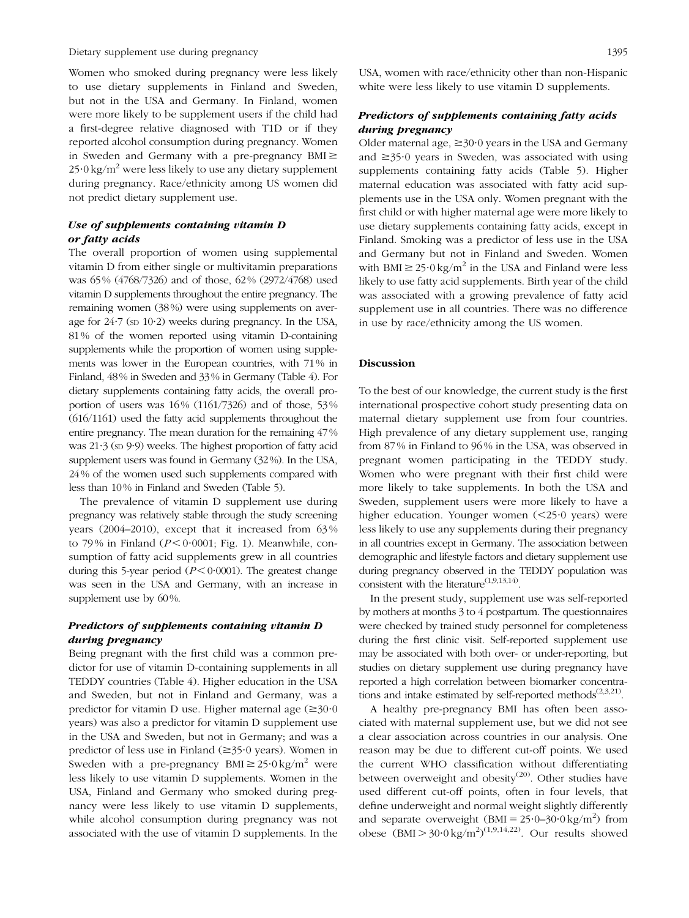Dietary supplement use during pregnancy 1395

Women who smoked during pregnancy were less likely to use dietary supplements in Finland and Sweden, but not in the USA and Germany. In Finland, women were more likely to be supplement users if the child had a first-degree relative diagnosed with T1D or if they reported alcohol consumption during pregnancy. Women in Sweden and Germany with a pre-pregnancy  $BMI \geq$  $25.0 \text{ kg/m}^2$  were less likely to use any dietary supplement during pregnancy. Race/ethnicity among US women did not predict dietary supplement use.

# Use of supplements containing vitamin D or fatty acids

The overall proportion of women using supplemental vitamin D from either single or multivitamin preparations was 65 % (4768/7326) and of those, 62 % (2972/4768) used vitamin D supplements throughout the entire pregnancy. The remaining women (38 %) were using supplements on average for  $24.7$  (sp  $10.2$ ) weeks during pregnancy. In the USA, 81 % of the women reported using vitamin D-containing supplements while the proportion of women using supplements was lower in the European countries, with 71 % in Finland, 48 % in Sweden and 33 % in Germany [\(Table 4](#page-6-0)). For dietary supplements containing fatty acids, the overall proportion of users was 16 % (1161/7326) and of those, 53 % (616/1161) used the fatty acid supplements throughout the entire pregnancy. The mean duration for the remaining 47 % was  $21.3$  (sp  $9.9$ ) weeks. The highest proportion of fatty acid supplement users was found in Germany (32 %). In the USA, 24 % of the women used such supplements compared with less than 10 % in Finland and Sweden ([Table 5](#page-7-0)).

The prevalence of vitamin D supplement use during pregnancy was relatively stable through the study screening years (2004–2010), except that it increased from 63 % to 79% in Finland ( $P < 0.0001$ ; [Fig. 1\)](#page-8-0). Meanwhile, consumption of fatty acid supplements grew in all countries during this 5-year period ( $P < 0.0001$ ). The greatest change was seen in the USA and Germany, with an increase in supplement use by 60%.

## Predictors of supplements containing vitamin D during pregnancy

Being pregnant with the first child was a common predictor for use of vitamin D-containing supplements in all TEDDY countries ([Table 4\)](#page-6-0). Higher education in the USA and Sweden, but not in Finland and Germany, was a predictor for vitamin D use. Higher maternal age  $(\geq 30.0)$ years) was also a predictor for vitamin D supplement use in the USA and Sweden, but not in Germany; and was a predictor of less use in Finland ( $\geq$ 35 $\cdot$ 0 years). Women in Sweden with a pre-pregnancy  $BMI \geq 25.0 \text{ kg/m}^2$  were less likely to use vitamin D supplements. Women in the USA, Finland and Germany who smoked during pregnancy were less likely to use vitamin D supplements, while alcohol consumption during pregnancy was not associated with the use of vitamin D supplements. In the USA, women with race/ethnicity other than non-Hispanic white were less likely to use vitamin D supplements.

## Predictors of supplements containing fatty acids during pregnancy

Older maternal age,  $\geq 30.0$  years in the USA and Germany and  $\geq$ 35.0 years in Sweden, was associated with using supplements containing fatty acids [\(Table 5](#page-7-0)). Higher maternal education was associated with fatty acid supplements use in the USA only. Women pregnant with the first child or with higher maternal age were more likely to use dietary supplements containing fatty acids, except in Finland. Smoking was a predictor of less use in the USA and Germany but not in Finland and Sweden. Women with BMI  $\geq$  25 $\cdot$ 0 kg/m<sup>2</sup> in the USA and Finland were less likely to use fatty acid supplements. Birth year of the child was associated with a growing prevalence of fatty acid supplement use in all countries. There was no difference in use by race/ethnicity among the US women.

## Discussion

To the best of our knowledge, the current study is the first international prospective cohort study presenting data on maternal dietary supplement use from four countries. High prevalence of any dietary supplement use, ranging from 87 % in Finland to 96 % in the USA, was observed in pregnant women participating in the TEDDY study. Women who were pregnant with their first child were more likely to take supplements. In both the USA and Sweden, supplement users were more likely to have a higher education. Younger women  $(<25.0$  years) were less likely to use any supplements during their pregnancy in all countries except in Germany. The association between demographic and lifestyle factors and dietary supplement use during pregnancy observed in the TEDDY population was consistent with the literature<sup> $(1,9,13,14)$  $(1,9,13,14)$ </sup>.

In the present study, supplement use was self-reported by mothers at months 3 to 4 postpartum. The questionnaires were checked by trained study personnel for completeness during the first clinic visit. Self-reported supplement use may be associated with both over- or under-reporting, but studies on dietary supplement use during pregnancy have reported a high correlation between biomarker concentrations and intake estimated by self-reported methods $(2,3,21)$  $(2,3,21)$ .

A healthy pre-pregnancy BMI has often been associated with maternal supplement use, but we did not see a clear association across countries in our analysis. One reason may be due to different cut-off points. We used the current WHO classification without differentiating between overweight and obesity<sup>([20\)](#page-10-0)</sup>. Other studies have used different cut-off points, often in four levels, that define underweight and normal weight slightly differently and separate overweight  $(BMI = 25.0 - 30.0 \text{ kg/m}^2)$  from obese  $(BMI > 30.0 \text{ kg/m}^2)^{(1,9,14,22)}$  $(BMI > 30.0 \text{ kg/m}^2)^{(1,9,14,22)}$  $(BMI > 30.0 \text{ kg/m}^2)^{(1,9,14,22)}$  $(BMI > 30.0 \text{ kg/m}^2)^{(1,9,14,22)}$ . Our results showed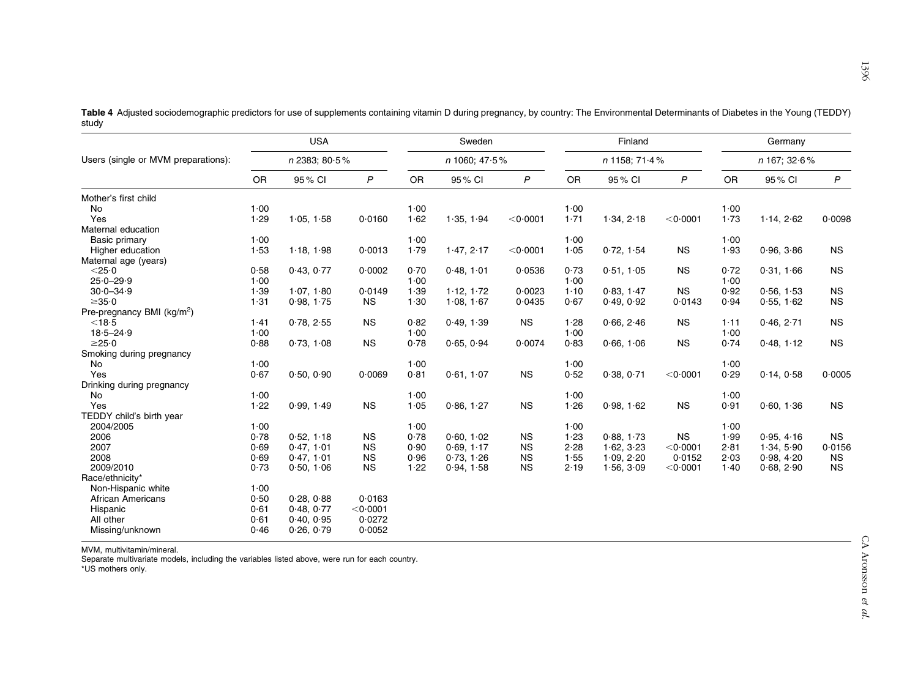<span id="page-6-0"></span>Table 4 Adjusted sociodemographic predictors for use of supplements containing vitamin D during pregnancy, by country: The Environmental Determinants of Diabetes in the Young (TEDDY) study

|                                        |               | <b>USA</b> |           |           | Sweden        |                    |           | Finland         |                    | Germany   |              |              |  |
|----------------------------------------|---------------|------------|-----------|-----------|---------------|--------------------|-----------|-----------------|--------------------|-----------|--------------|--------------|--|
| Users (single or MVM preparations):    | n 2383; 80.5% |            |           |           | n 1060; 47.5% |                    |           | $n$ 1158; 71.4% |                    |           | n 167; 32.6% |              |  |
|                                        | <b>OR</b>     | 95% CI     | P         | <b>OR</b> | 95% CI        | P                  | <b>OR</b> | 95% CI          | $\mathsf{P}$       | <b>OR</b> | 95% CI       | $\mathsf{P}$ |  |
| Mother's first child                   |               |            |           |           |               |                    |           |                 |                    |           |              |              |  |
| No                                     | 1.00          |            |           | 1.00      |               |                    | 1.00      |                 |                    | 1.00      |              |              |  |
| Yes                                    | 1.29          | 1.05, 1.58 | 0.0160    | 1.62      | 1.35, 1.94    | $<$ 0 $\cdot$ 0001 | 1.71      | 1.34, 2.18      | $<$ 0 $\cdot$ 0001 | 1.73      | 1.14, 2.62   | 0.0098       |  |
| Maternal education                     |               |            |           |           |               |                    |           |                 |                    |           |              |              |  |
| Basic primary                          | 1.00          |            |           | 1.00      |               |                    | 1.00      |                 |                    | 1.00      |              |              |  |
| Higher education                       | 1.53          | 1.18, 1.98 | 0.0013    | 1.79      | 1.47, 2.17    | $<$ 0 $\cdot$ 0001 | 1.05      | 0.72, 1.54      | <b>NS</b>          | 1.93      | 0.96, 3.86   | <b>NS</b>    |  |
| Maternal age (years)                   |               |            |           |           |               |                    |           |                 |                    |           |              |              |  |
| $<$ 25 $\cdot$ 0                       | 0.58          | 0.43, 0.77 | 0.0002    | 0.70      | 0.48, 1.01    | 0.0536             | 0.73      | 0.51, 1.05      | <b>NS</b>          | 0.72      | 0.31, 1.66   | <b>NS</b>    |  |
| $25.0 - 29.9$                          | 1.00          |            |           | 1.00      |               |                    | 1.00      |                 |                    | 1.00      |              |              |  |
| $30.0 - 34.9$                          | 1.39          | 1.07, 1.80 | 0.0149    | 1.39      | 1.12, 1.72    | 0.0023             | $1 - 10$  | 0.83, 1.47      | <b>NS</b>          | 0.92      | 0.56, 1.53   | <b>NS</b>    |  |
| $\geq 35.0$                            | 1.31          | 0.98, 1.75 | <b>NS</b> | 1.30      | 1.08, 1.67    | 0.0435             | 0.67      | 0.49, 0.92      | 0.0143             | 0.94      | 0.55, 1.62   | <b>NS</b>    |  |
| Pre-pregnancy BMI (kg/m <sup>2</sup> ) |               |            |           |           |               |                    |           |                 |                    |           |              |              |  |
| $<$ 18 $\cdot$ 5                       | 1.41          | 0.78, 2.55 | <b>NS</b> | 0.82      | 0.49, 1.39    | <b>NS</b>          | 1.28      | 0.66, 2.46      | <b>NS</b>          | 1.11      | 0.46, 2.71   | <b>NS</b>    |  |
| $18.5 - 24.9$                          | 1.00          |            |           | 1.00      |               |                    | 1.00      |                 |                    | 1.00      |              |              |  |
| $\geq$ 25 $\cdot$ 0                    | 0.88          | 0.73, 1.08 | <b>NS</b> | 0.78      | 0.65, 0.94    | 0.0074             | 0.83      | 0.66, 1.06      | <b>NS</b>          | 0.74      | 0.48, 1.12   | <b>NS</b>    |  |
| Smoking during pregnancy               |               |            |           |           |               |                    |           |                 |                    |           |              |              |  |
| No                                     | 1.00          |            |           | 1.00      |               |                    | 1.00      |                 |                    | 1.00      |              |              |  |
| Yes                                    | 0.67          | 0.50, 0.90 | 0.0069    | 0.81      | 0.61, 1.07    | <b>NS</b>          | 0.52      | 0.38, 0.71      | $<$ 0 $\cdot$ 0001 | 0.29      | 0.14, 0.58   | 0.0005       |  |
| Drinking during pregnancy              |               |            |           |           |               |                    |           |                 |                    |           |              |              |  |
| No                                     | 1.00          |            |           | 1.00      |               |                    | 1.00      |                 |                    | 1.00      |              |              |  |
| Yes                                    | 1.22          | 0.99, 1.49 | <b>NS</b> | 1.05      | 0.86, 1.27    | <b>NS</b>          | 1.26      | 0.98, 1.62      | <b>NS</b>          | 0.91      | 0.60, 1.36   | <b>NS</b>    |  |
| TEDDY child's birth year               |               |            |           |           |               |                    |           |                 |                    |           |              |              |  |
| 2004/2005                              | 1.00          |            |           | 1.00      |               |                    | 1.00      |                 |                    | 1.00      |              |              |  |
| 2006                                   | 0.78          | 0.52, 1.18 | <b>NS</b> | 0.78      | 0.60.102      | <b>NS</b>          | 1.23      | 0.88.1.73       | <b>NS</b>          | 1.99      | 0.95.4.16    | <b>NS</b>    |  |
| 2007                                   | 0.69          | 0.47, 1.01 | <b>NS</b> | 0.90      | 0.69, 1.17    | <b>NS</b>          | 2.28      | 1.62, 3.23      | $<$ 0 $\cdot$ 0001 | 2.81      | 1.34, 5.90   | 0.0156       |  |
| 2008                                   | 0.69          | 0.47, 1.01 | <b>NS</b> | 0.96      | 0.73, 1.26    | <b>NS</b>          | 1.55      | 1.09, 2.20      | 0.0152             | 2.03      | 0.98.4.20    | <b>NS</b>    |  |
| 2009/2010                              | 0.73          | 0.50, 1.06 | <b>NS</b> | 1.22      | 0.94, 1.58    | <b>NS</b>          | 2.19      | 1.56, 3.09      | $<$ 0 $\cdot$ 0001 | 1.40      | 0.68, 2.90   | <b>NS</b>    |  |
| Race/ethnicity*                        |               |            |           |           |               |                    |           |                 |                    |           |              |              |  |
| Non-Hispanic white                     | 1.00          |            |           |           |               |                    |           |                 |                    |           |              |              |  |
| <b>African Americans</b>               | 0.50          | 0.28.0.88  | 0.0163    |           |               |                    |           |                 |                    |           |              |              |  |
| Hispanic                               | 0.61          | 0.48.0.77  | < 0.0001  |           |               |                    |           |                 |                    |           |              |              |  |
| All other                              | 0.61          | 0.40, 0.95 | 0.0272    |           |               |                    |           |                 |                    |           |              |              |  |
| Missing/unknown                        | 0.46          | 0.26, 0.79 | 0.0052    |           |               |                    |           |                 |                    |           |              |              |  |

MVM, multivitamin/mineral.

Separate multivariate models, including the variables listed above, were run for each country. \*US mothers only.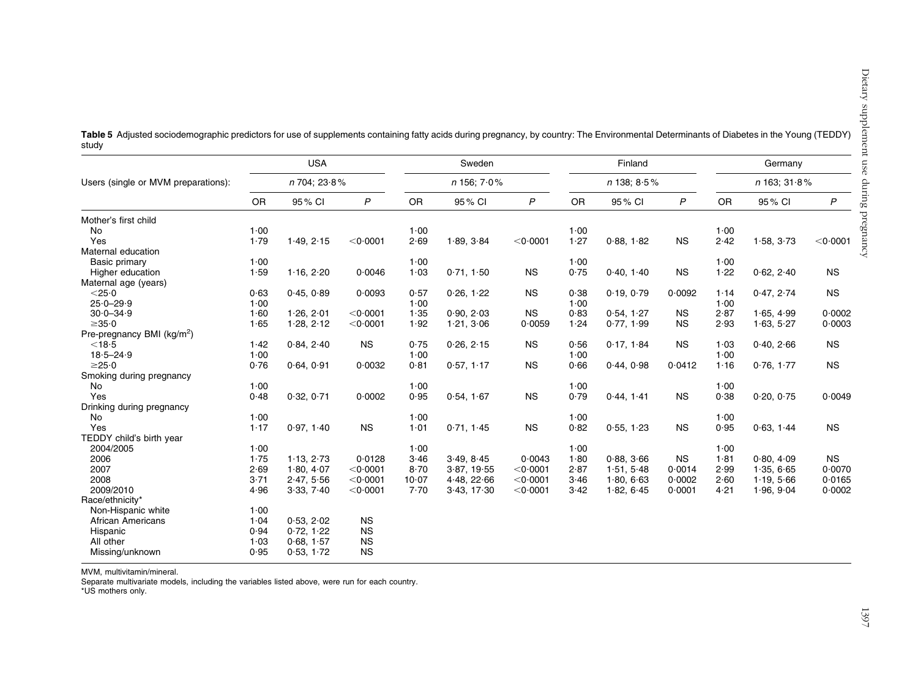|                                        |              | <b>USA</b> |                    |          | Sweden                |                    |                  | Finland    |              | Germany                |            |                    |  |
|----------------------------------------|--------------|------------|--------------------|----------|-----------------------|--------------------|------------------|------------|--------------|------------------------|------------|--------------------|--|
| Users (single or MVM preparations):    | n 704; 23.8% |            |                    |          | $n$ 156; 7 $\cdot$ 0% |                    | $n$ 138; $8.5\%$ |            |              | $n$ 163; 31 $\cdot$ 8% |            |                    |  |
|                                        | <b>OR</b>    | 95% CI     | $\mathsf{P}$       | OR       | 95% CI                | $\mathsf{P}$       | OR               | 95% CI     | $\mathsf{P}$ | OR                     | 95% CI     | $\mathsf{P}$       |  |
| Mother's first child                   |              |            |                    |          |                       |                    |                  |            |              |                        |            |                    |  |
| No                                     | 1.00         |            |                    | 1.00     |                       |                    | 1.00             |            |              | 1.00                   |            |                    |  |
| Yes                                    | 1.79         | 1.49, 2.15 | $<$ 0 $\cdot$ 0001 | 2.69     | 1.89, 3.84            | $<$ 0 $\cdot$ 0001 | 1.27             | 0.88, 1.82 | <b>NS</b>    | 2.42                   | 1.58, 3.73 | $<$ 0 $\cdot$ 0001 |  |
| Maternal education                     |              |            |                    |          |                       |                    |                  |            |              |                        |            |                    |  |
| Basic primary                          | 1.00         |            |                    | 1.00     |                       |                    | 1.00             |            |              | 1.00                   |            |                    |  |
| Higher education                       | 1.59         | 1.16, 2.20 | 0.0046             | 1.03     | 0.71, 1.50            | <b>NS</b>          | 0.75             | 0.40, 1.40 | <b>NS</b>    | 1.22                   | 0.62, 2.40 | <b>NS</b>          |  |
| Maternal age (years)                   |              |            |                    |          |                       |                    |                  |            |              |                        |            |                    |  |
| $<$ 25 $\cdot$ 0                       | 0.63         | 0.45, 0.89 | 0.0093             | 0.57     | 0.26, 1.22            | <b>NS</b>          | 0.38             | 0.19, 0.79 | 0.0092       | 1.14                   | 0.47, 2.74 | <b>NS</b>          |  |
| $25.0 - 29.9$                          | 1.00         |            |                    | 1.00     |                       |                    | 1.00             |            |              | 1.00                   |            |                    |  |
| $30.0 - 34.9$                          | 1.60         | 1.26, 2.01 | $<$ 0 $\cdot$ 0001 | 1.35     | 0.90, 2.03            | <b>NS</b>          | 0.83             | 0.54, 1.27 | <b>NS</b>    | 2.87                   | 1.65, 4.99 | 0.0002             |  |
| $\geq 35.0$                            | 1.65         | 1.28, 2.12 | $<$ 0 $\cdot$ 0001 | 1.92     | 1.21, 3.06            | 0.0059             | 1.24             | 0.77, 1.99 | <b>NS</b>    | 2.93                   | 1.63, 5.27 | 0.0003             |  |
| Pre-pregnancy BMI (kg/m <sup>2</sup> ) |              |            |                    |          |                       |                    |                  |            |              |                        |            |                    |  |
| $<$ 18 $\cdot$ 5                       | 1.42         | 0.84, 2.40 | <b>NS</b>          | 0.75     | 0.26, 2.15            | <b>NS</b>          | 0.56             | 0.17, 1.84 | <b>NS</b>    | 1.03                   | 0.40, 2.66 | <b>NS</b>          |  |
| $18.5 - 24.9$                          | 1.00         |            |                    | 1.00     |                       |                    | 1.00             |            |              | 1.00                   |            |                    |  |
| $\geq$ 25 $\cdot$ 0                    | 0.76         | 0.64, 0.91 | 0.0032             | 0.81     | 0.57, 1.17            | <b>NS</b>          | 0.66             | 0.44, 0.98 | 0.0412       | 1.16                   | 0.76, 1.77 | <b>NS</b>          |  |
| Smoking during pregnancy               |              |            |                    |          |                       |                    |                  |            |              |                        |            |                    |  |
| No                                     | 1.00         |            |                    | 1.00     |                       |                    | 1.00             |            |              | 1.00                   |            |                    |  |
| Yes                                    | 0.48         | 0.32, 0.71 | 0.0002             | 0.95     | 0.54, 1.67            | <b>NS</b>          | 0.79             | 0.44, 1.41 | <b>NS</b>    | 0.38                   | 0.20, 0.75 | 0.0049             |  |
| Drinking during pregnancy              |              |            |                    |          |                       |                    |                  |            |              |                        |            |                    |  |
| No                                     | 1.00         |            |                    | 1.00     |                       |                    | 1.00             |            |              | 1.00                   |            |                    |  |
| Yes                                    | 1.17         | 0.97, 1.40 | <b>NS</b>          | 1.01     | 0.71, 1.45            | <b>NS</b>          | 0.82             | 0.55, 1.23 | <b>NS</b>    | 0.95                   | 0.63, 1.44 | <b>NS</b>          |  |
| TEDDY child's birth year               |              |            |                    |          |                       |                    |                  |            |              |                        |            |                    |  |
| 2004/2005                              | 1.00         |            |                    | 1.00     |                       |                    | 1.00             |            |              | 1.00                   |            |                    |  |
| 2006                                   | 1.75         | 1.13, 2.73 | 0.0128             | 3.46     | 3.49, 8.45            | 0.0043             | 1.80             | 0.88.366   | <b>NS</b>    | 1.81                   | 0.80, 4.09 | <b>NS</b>          |  |
| 2007                                   | 2.69         | 1.80, 4.07 | $<$ 0 $\cdot$ 0001 | $8 - 70$ | 3.87, 19.55           | < 0.0001           | 2.87             | 1.51.5.48  | 0.0014       | 2.99                   | 1.35, 6.65 | 0.0070             |  |
| 2008                                   | 3.71         | 2.47, 5.56 | $<$ 0 $\cdot$ 0001 | 10.07    | 4.48, 22.66           | $<$ 0 $\cdot$ 0001 | 3.46             | 1.80.663   | 0.0002       | 2.60                   | 1.19, 5.66 | 0.0165             |  |
| 2009/2010                              | 4.96         | 3.33, 7.40 | $<$ 0 $\cdot$ 0001 | 7.70     | 3.43, 17.30           | $<$ 0 $\cdot$ 0001 | 3.42             | 1.82, 6.45 | 0.0001       | 4.21                   | 1.96, 9.04 | 0.0002             |  |
| Race/ethnicity*                        |              |            |                    |          |                       |                    |                  |            |              |                        |            |                    |  |
| Non-Hispanic white                     | 1.00         |            |                    |          |                       |                    |                  |            |              |                        |            |                    |  |
| <b>African Americans</b>               | 1.04         | 0.53, 2.02 | <b>NS</b>          |          |                       |                    |                  |            |              |                        |            |                    |  |
| Hispanic                               | 0.94         | 0.72, 1.22 | <b>NS</b>          |          |                       |                    |                  |            |              |                        |            |                    |  |
| All other                              | 1.03         | 0.68, 1.57 | <b>NS</b>          |          |                       |                    |                  |            |              |                        |            |                    |  |
| Missing/unknown                        | 0.95         | 0.53, 1.72 | <b>NS</b>          |          |                       |                    |                  |            |              |                        |            |                    |  |
|                                        |              |            |                    |          |                       |                    |                  |            |              |                        |            |                    |  |

<span id="page-7-0"></span>Table 5 Adjusted sociodemographic predictors for use of supplements containing fatty acids during pregnancy, by country: The Environmental Determinants of Diabetes in the Young (TEDDY) study

MVM, multivitamin/mineral.

Separate multivariate models, including the variables listed above, were run for each country.

\*US mothers only.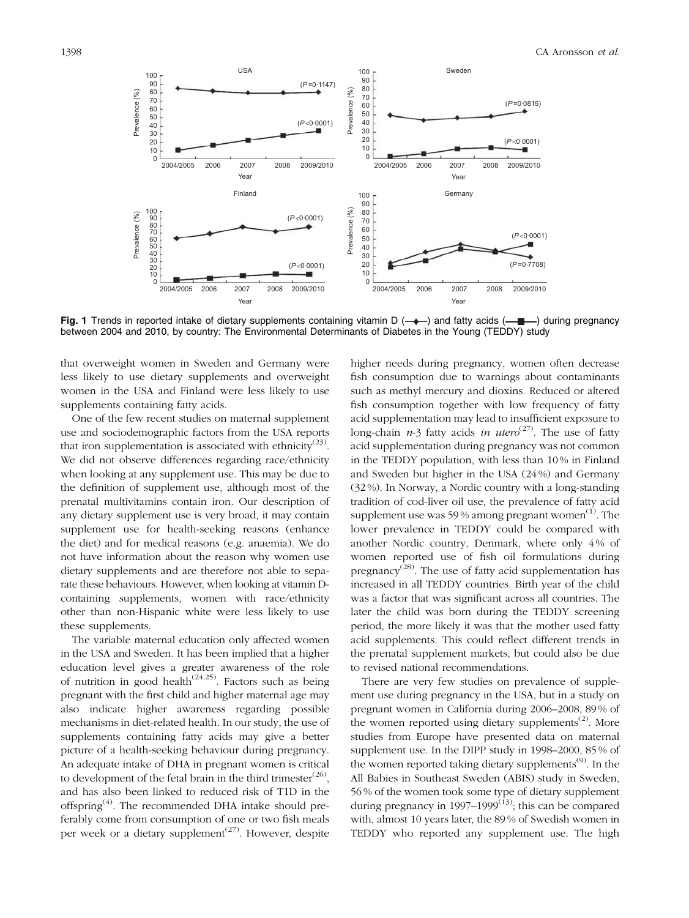<span id="page-8-0"></span>

Fig. 1 Trends in reported intake of dietary supplements containing vitamin D  $(-\rightarrow)$  and fatty acids  $(-\rightarrow)$  during pregnancy between 2004 and 2010, by country: The Environmental Determinants of Diabetes in the Young (TEDDY) study

that overweight women in Sweden and Germany were less likely to use dietary supplements and overweight women in the USA and Finland were less likely to use supplements containing fatty acids.

One of the few recent studies on maternal supplement use and sociodemographic factors from the USA reports that iron supplementation is associated with ethnicity<sup>([23\)](#page-10-0)</sup>. We did not observe differences regarding race/ethnicity when looking at any supplement use. This may be due to the definition of supplement use, although most of the prenatal multivitamins contain iron. Our description of any dietary supplement use is very broad, it may contain supplement use for health-seeking reasons (enhance the diet) and for medical reasons (e.g. anaemia). We do not have information about the reason why women use dietary supplements and are therefore not able to separate these behaviours. However, when looking at vitamin Dcontaining supplements, women with race/ethnicity other than non-Hispanic white were less likely to use these supplements.

The variable maternal education only affected women in the USA and Sweden. It has been implied that a higher education level gives a greater awareness of the role of nutrition in good health<sup>[\(24,25\)](#page-10-0)</sup>. Factors such as being pregnant with the first child and higher maternal age may also indicate higher awareness regarding possible mechanisms in diet-related health. In our study, the use of supplements containing fatty acids may give a better picture of a health-seeking behaviour during pregnancy. An adequate intake of DHA in pregnant women is critical to development of the fetal brain in the third trimester $^{(26)}$  $^{(26)}$  $^{(26)}$ , and has also been linked to reduced risk of T1D in the offspring<sup> $(4)$ </sup>. The recommended DHA intake should preferably come from consumption of one or two fish meals per week or a dietary supplement<sup>[\(27](#page-10-0))</sup>. However, despite

higher needs during pregnancy, women often decrease fish consumption due to warnings about contaminants such as methyl mercury and dioxins. Reduced or altered fish consumption together with low frequency of fatty acid supplementation may lead to insufficient exposure to long-chain  $n-3$  fatty acids in utero<sup>([27\)](#page-10-0)</sup>. The use of fatty acid supplementation during pregnancy was not common in the TEDDY population, with less than 10 % in Finland and Sweden but higher in the USA (24 %) and Germany (32 %). In Norway, a Nordic country with a long-standing tradition of cod-liver oil use, the prevalence of fatty acid supplement use was 59% among pregnant women $^{(1)}$  $^{(1)}$  $^{(1)}$ . The lower prevalence in TEDDY could be compared with another Nordic country, Denmark, where only 4 % of women reported use of fish oil formulations during pregnancy<sup>([28\)](#page-10-0)</sup>. The use of fatty acid supplementation has increased in all TEDDY countries. Birth year of the child was a factor that was significant across all countries. The later the child was born during the TEDDY screening period, the more likely it was that the mother used fatty acid supplements. This could reflect different trends in the prenatal supplement markets, but could also be due to revised national recommendations.

There are very few studies on prevalence of supplement use during pregnancy in the USA, but in a study on pregnant women in California during 2006–2008, 89 % of the women reported using dietary supplements<sup> $(2)$  $(2)$  $(2)$ </sup>. More studies from Europe have presented data on maternal supplement use. In the DIPP study in 1998–2000, 85 % of the women reported taking dietary supplements<sup> $(9)$  $(9)$ </sup>. In the All Babies in Southeast Sweden (ABIS) study in Sweden, 56 % of the women took some type of dietary supplement during pregnancy in  $1997-1999^{(13)}$  $1997-1999^{(13)}$  $1997-1999^{(13)}$ ; this can be compared with, almost 10 years later, the 89 % of Swedish women in TEDDY who reported any supplement use. The high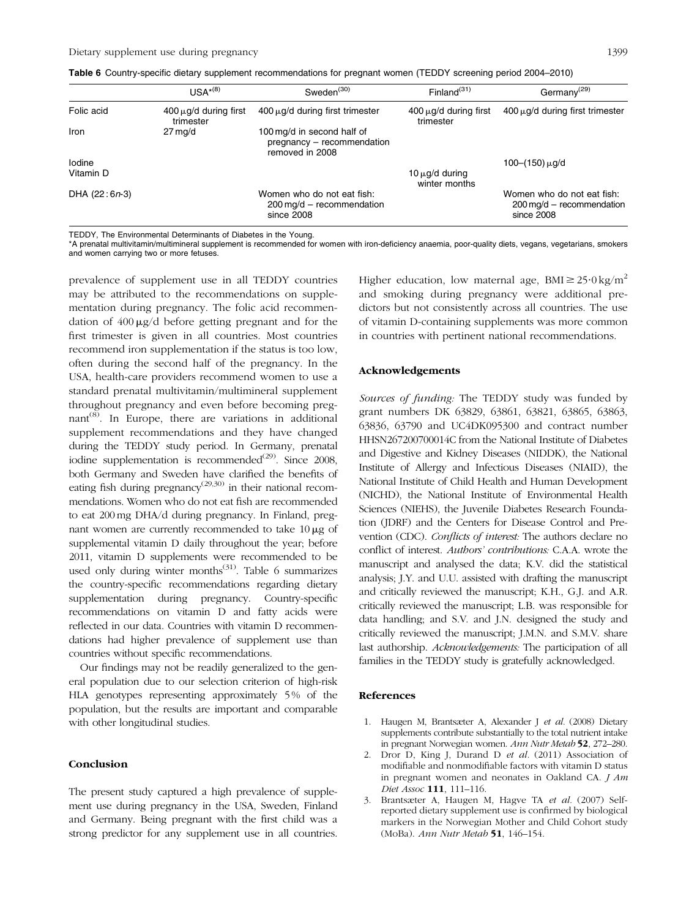|               | $LISA*(8)$                              | Sweden $(30)$                                                                      | Finland $(31)$                          | Germany <sup><math>(29)</math></sup>                                               |
|---------------|-----------------------------------------|------------------------------------------------------------------------------------|-----------------------------------------|------------------------------------------------------------------------------------|
| Folic acid    | $400 \mu q/d$ during first<br>trimester | $400 \mu q/d$ during first trimester                                               | $400 \mu q/d$ during first<br>trimester | $400 \mu q/d$ during first trimester                                               |
| Iron          | $27 \,\mathrm{mq/d}$                    | 100 mg/d in second half of<br>pregnancy - recommendation<br>removed in 2008        |                                         |                                                                                    |
| Iodine        |                                         |                                                                                    |                                         | $100-(150) \mu q/d$                                                                |
| Vitamin D     |                                         |                                                                                    | $10 \mu$ g/d during<br>winter months    |                                                                                    |
| DHA (22:6n-3) |                                         | Women who do not eat fish:<br>$200 \,\mathrm{mg/d}$ – recommendation<br>since 2008 |                                         | Women who do not eat fish:<br>$200 \,\mathrm{mq/d}$ – recommendation<br>since 2008 |

<span id="page-9-0"></span>Table 6 Country-specific dietary supplement recommendations for pregnant women (TEDDY screening period 2004–2010)

TEDDY, The Environmental Determinants of Diabetes in the Young.

\*A prenatal multivitamin/multimineral supplement is recommended for women with iron-deficiency anaemia, poor-quality diets, vegans, vegetarians, smokers and women carrying two or more fetuses.

prevalence of supplement use in all TEDDY countries may be attributed to the recommendations on supplementation during pregnancy. The folic acid recommendation of  $400 \mu g/d$  before getting pregnant and for the first trimester is given in all countries. Most countries recommend iron supplementation if the status is too low, often during the second half of the pregnancy. In the USA, health-care providers recommend women to use a standard prenatal multivitamin/multimineral supplement throughout pregnancy and even before becoming pregnant<sup> $(8)$  $(8)$ </sup>. In Europe, there are variations in additional supplement recommendations and they have changed during the TEDDY study period. In Germany, prenatal iodine supplementation is recommended $(29)$  $(29)$ . Since 2008, both Germany and Sweden have clarified the benefits of eating fish during pregnancy<sup> $(29,30)$ </sup> in their national recommendations. Women who do not eat fish are recommended to eat 200 mg DHA/d during pregnancy. In Finland, pregnant women are currently recommended to take  $10 \mu$ g of supplemental vitamin D daily throughout the year; before 2011, vitamin D supplements were recommended to be used only during winter months $^{(31)}$  $^{(31)}$  $^{(31)}$ . Table 6 summarizes the country-specific recommendations regarding dietary supplementation during pregnancy. Country-specific recommendations on vitamin D and fatty acids were reflected in our data. Countries with vitamin D recommendations had higher prevalence of supplement use than countries without specific recommendations.

Our findings may not be readily generalized to the general population due to our selection criterion of high-risk HLA genotypes representing approximately 5% of the population, but the results are important and comparable with other longitudinal studies.

### Conclusion

The present study captured a high prevalence of supplement use during pregnancy in the USA, Sweden, Finland and Germany. Being pregnant with the first child was a strong predictor for any supplement use in all countries.

Higher education, low maternal age, BMI $\geq 25.0 \text{ kg/m}^2$ and smoking during pregnancy were additional predictors but not consistently across all countries. The use of vitamin D-containing supplements was more common in countries with pertinent national recommendations.

## Acknowledgements

Sources of funding: The TEDDY study was funded by grant numbers DK 63829, 63861, 63821, 63865, 63863, 63836, 63790 and UC4DK095300 and contract number HHSN267200700014C from the National Institute of Diabetes and Digestive and Kidney Diseases (NIDDK), the National Institute of Allergy and Infectious Diseases (NIAID), the National Institute of Child Health and Human Development (NICHD), the National Institute of Environmental Health Sciences (NIEHS), the Juvenile Diabetes Research Foundation (JDRF) and the Centers for Disease Control and Prevention (CDC). Conflicts of interest: The authors declare no conflict of interest. Authors' contributions: C.A.A. wrote the manuscript and analysed the data; K.V. did the statistical analysis; J.Y. and U.U. assisted with drafting the manuscript and critically reviewed the manuscript; K.H., G.J. and A.R. critically reviewed the manuscript; L.B. was responsible for data handling; and S.V. and J.N. designed the study and critically reviewed the manuscript; J.M.N. and S.M.V. share last authorship. Acknowledgements: The participation of all families in the TEDDY study is gratefully acknowledged.

#### References

- 1. Haugen M, Brantsæter A, Alexander J et al. (2008) Dietary supplements contribute substantially to the total nutrient intake in pregnant Norwegian women. Ann Nutr Metab 52, 272–280.
- 2. Dror D, King J, Durand D et al. (2011) Association of modifiable and nonmodifiable factors with vitamin D status in pregnant women and neonates in Oakland CA. *J Am* Diet Assoc **111**, 111-116.
- 3. Brantsæter A, Haugen M, Hagve TA et al. (2007) Selfreported dietary supplement use is confirmed by biological markers in the Norwegian Mother and Child Cohort study (MoBa). Ann Nutr Metab 51, 146–154.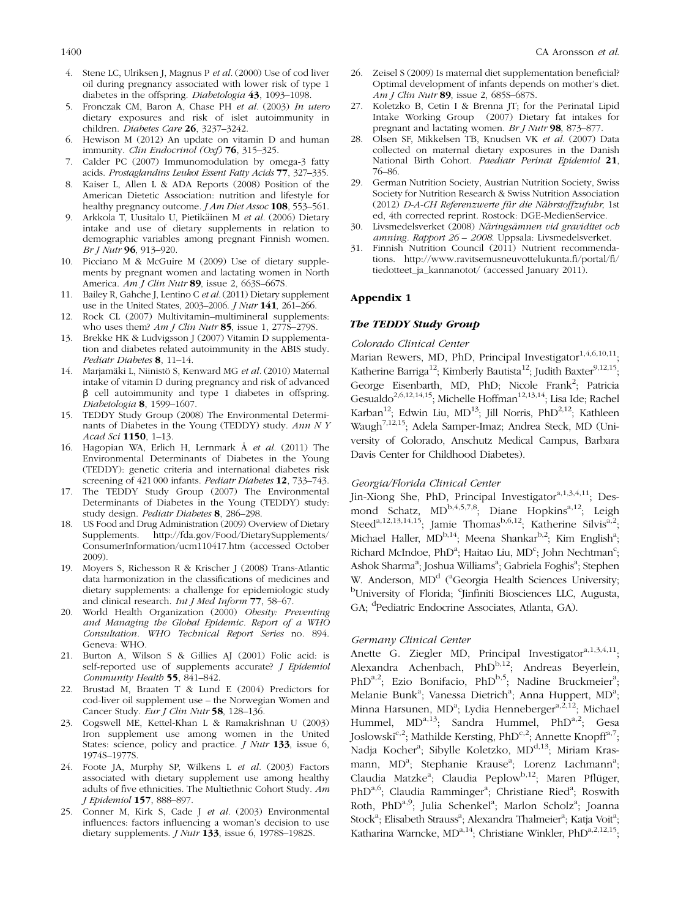- <span id="page-10-0"></span>4. Stene LC, Ulriksen J, Magnus P et al. (2000) Use of cod liver oil during pregnancy associated with lower risk of type 1 diabetes in the offspring. *Diabetologia* 43, 1093–1098.
- 5. Fronczak CM, Baron A, Chase PH et al. (2003) In utero dietary exposures and risk of islet autoimmunity in children. Diabetes Care 26, 3237–3242.
- 6. Hewison M (2012) An update on vitamin D and human immunity. Clin Endocrinol (Oxf) 76, 315-325.
- Calder PC (2007) Immunomodulation by omega-3 fatty acids. Prostaglandins Leukot Essent Fatty Acids 77, 327–335.
- 8. Kaiser L, Allen L & ADA Reports (2008) Position of the American Dietetic Association: nutrition and lifestyle for healthy pregnancy outcome. *J Am Diet Assoc* 108, 553-561.
- 9. Arkkola T, Uusitalo U, Pietikäinen M et al. (2006) Dietary intake and use of dietary supplements in relation to demographic variables among pregnant Finnish women. Br J Nutr 96, 913–920.
- 10. Picciano M & McGuire M (2009) Use of dietary supplements by pregnant women and lactating women in North America. Am J Clin Nutr 89, issue 2, 663S–667S.
- 11. Bailey R, Gahche J, Lentino C et al. (2011) Dietary supplement use in the United States, 2003–2006. J Nutr 141, 261–266.
- 12. Rock CL (2007) Multivitamin–multimineral supplements: who uses them? Am J Clin Nutr 85, issue 1,  $277\overline{S}$ -279S.
- 13. Brekke HK & Ludvigsson J (2007) Vitamin D supplementation and diabetes related autoimmunity in the ABIS study. Pediatr Diabetes 8, 11–14.
- 14. Marjamäki L, Niinistö S, Kenward MG et al. (2010) Maternal intake of vitamin D during pregnancy and risk of advanced  $\beta$  cell autoimmunity and type 1 diabetes in offspring. Diabetologia 8, 1599–1607.
- 15. TEDDY Study Group (2008) The Environmental Determinants of Diabetes in the Young (TEDDY) study. Ann N Y Acad Sci 1150, 1–13.
- 16. Hagopian WA, Erlich H, Lernmark Å et al. (2011) The Environmental Determinants of Diabetes in the Young (TEDDY): genetic criteria and international diabetes risk screening of 421 000 infants. Pediatr Diabetes 12, 733–743.
- 17. The TEDDY Study Group (2007) The Environmental Determinants of Diabetes in the Young (TEDDY) study: study design. Pediatr Diabetes 8, 286–298.
- 18. US Food and Drug Administration (2009) Overview of Dietary Supplements. http://fda.gov/Food/DietarySupplements/ ConsumerInformation/ucm110417.htm (accessed October 2009).
- 19. Moyers S, Richesson R & Krischer J (2008) Trans-Atlantic data harmonization in the classifications of medicines and dietary supplements: a challenge for epidemiologic study and clinical research. Int J Med Inform 77, 58–67.
- 20. World Health Organization (2000) Obesity: Preventing and Managing the Global Epidemic. Report of a WHO Consultation. WHO Technical Report Series no. 894. Geneva: WHO.
- 21. Burton A, Wilson S & Gillies AJ (2001) Folic acid: is self-reported use of supplements accurate? *J Epidemiol* Community Health 55, 841–842.
- 22. Brustad M, Braaten T & Lund E (2004) Predictors for cod-liver oil supplement use – the Norwegian Women and Cancer Study. Eur J Clin Nutr 58, 128-136.
- 23. Cogswell ME, Kettel-Khan L & Ramakrishnan U (2003) Iron supplement use among women in the United States: science, policy and practice. *J Nutr* 133, issue 6, 1974S–1977S.
- 24. Foote JA, Murphy SP, Wilkens L et al. (2003) Factors associated with dietary supplement use among healthy adults of five ethnicities. The Multiethnic Cohort Study. Am J Epidemiol 157, 888–897.
- 25. Conner M, Kirk S, Cade J et al. (2003) Environmental influences: factors influencing a woman's decision to use dietary supplements. *J Nutr* 133, issue 6, 1978S-1982S.
- 26. Zeisel S (2009) Is maternal diet supplementation beneficial? Optimal development of infants depends on mother's diet. Am J Clin Nutr 89, issue 2, 685S–687S.
- 27. Koletzko B, Cetin I & Brenna JT; for the Perinatal Lipid Intake Working Group (2007) Dietary fat intakes for pregnant and lactating women. Br J Nutr 98, 873–877.
- 28. Olsen SF, Mikkelsen TB, Knudsen VK et al. (2007) Data collected on maternal dietary exposures in the Danish National Birth Cohort. Paediatr Perinat Epidemiol 21, 76–86.
- 29. German Nutrition Society, Austrian Nutrition Society, Swiss Society for Nutrition Research & Swiss Nutrition Association (2012) D-A-CH Referenzwerte für die Nährstoffzufuhr, 1st ed, 4th corrected reprint. Rostock: DGE-MedienService.
- 30. Livsmedelsverket (2008) Näringsämnen vid graviditet och amning. Rapport 26 – 2008. Uppsala: Livsmedelsverket.
- 31. Finnish Nutrition Council (2011) Nutrient recommendations. http://www.ravitsemusneuvottelukunta.fi/portal/fi/ tiedotteet\_ja\_kannanotot/ (accessed January 2011).

## Appendix 1

## The TEDDY Study Group

## Colorado Clinical Center

Marian Rewers, MD, PhD, Principal Investigator $^{1,4,6,10,11}$ ; Katherine Barriga<sup>12</sup>; Kimberly Bautista<sup>12</sup>; Judith Baxter<sup>9,12,15</sup>; George Eisenbarth, MD, PhD; Nicole Frank<sup>2</sup>; Patricia Gesualdo<sup>2,6,12,14,15</sup>; Michelle Hoffman<sup>12,13,14</sup>; Lisa Ide; Rachel Karban<sup>12</sup>; Edwin Liu, MD<sup>13</sup>; Jill Norris, PhD<sup>2,12</sup>; Kathleen Waugh7,12,15; Adela Samper-Imaz; Andrea Steck, MD (University of Colorado, Anschutz Medical Campus, Barbara Davis Center for Childhood Diabetes).

#### Georgia/Florida Clinical Center

Jin-Xiong She, PhD, Principal Investigator<sup>a,1,3,4,11</sup>; Desmond Schatz,  $MD^{b,4,5,7,8}$ ; Diane Hopkins<sup>a,12</sup>; Leigh Steed<sup>a,12,13,14,15</sup>; Jamie Thomas<sup>b,6,12</sup>; Katherine Silvis<sup>a,2</sup>; Michael Haller, MD<sup>b,14</sup>; Meena Shankar<sup>b,2</sup>; Kim English<sup>a</sup>; Richard McIndoe, PhD<sup>a</sup>; Haitao Liu, MD<sup>c</sup>; John Nechtman<sup>c</sup>; Ashok Sharma<sup>a</sup>; Joshua Williams<sup>a</sup>; Gabriela Foghis<sup>a</sup>; Stephen W. Anderson, MD<sup>d</sup> (<sup>a</sup>Georgia Health Sciences University; <sup>b</sup>University of Florida; <sup>c</sup>Jinfiniti Biosciences LLC, Augusta, GA; <sup>d</sup> Pediatric Endocrine Associates, Atlanta, GA).

## Germany Clinical Center

Anette G. Ziegler MD, Principal Investigator<sup>a,1,3,4,11</sup>; Alexandra Achenbach, PhD<sup>b,12</sup>; Andreas Beyerlein, PhD<sup>a,2</sup>; Ezio Bonifacio, PhD<sup>b,5</sup>; Nadine Bruckmeier<sup>a</sup>; Melanie Bunk<sup>a</sup>; Vanessa Dietrich<sup>a</sup>; Anna Huppert, MD<sup>a</sup>; Minna Harsunen, MD<sup>a</sup>; Lydia Henneberger<sup>a,2,12</sup>; Michael Hummel, MD<sup>a,13</sup>; Sandra Hummel, PhD<sup>a,2</sup>; Gesa Joslowski<sup>c, 2</sup>; Mathilde Kersting, PhD<sup>c, 2</sup>; Annette Knopff<sup>a, 7</sup>; Nadja Kocher<sup>a</sup>; Sibylle Koletzko, MD<sup>d,13</sup>; Miriam Krasmann, MD<sup>a</sup>; Stephanie Krause<sup>a</sup>; Lorenz Lachmann<sup>a</sup>; Claudia Matzke<sup>a</sup>; Claudia Peplow<sup>b,12</sup>; Maren Pflüger, PhD<sup>a,6</sup>; Claudia Ramminger<sup>a</sup>; Christiane Ried<sup>a</sup>; Roswith Roth, PhD<sup>a,9</sup>; Julia Schenkel<sup>a</sup>; Marlon Scholz<sup>a</sup>; Joanna Stock<sup>a</sup>; Elisabeth Strauss<sup>a</sup>; Alexandra Thalmeier<sup>a</sup>; Katja Voit<sup>a</sup>; Katharina Warncke, MD<sup>a,14</sup>; Christiane Winkler, PhD<sup>a,2,12,15</sup>;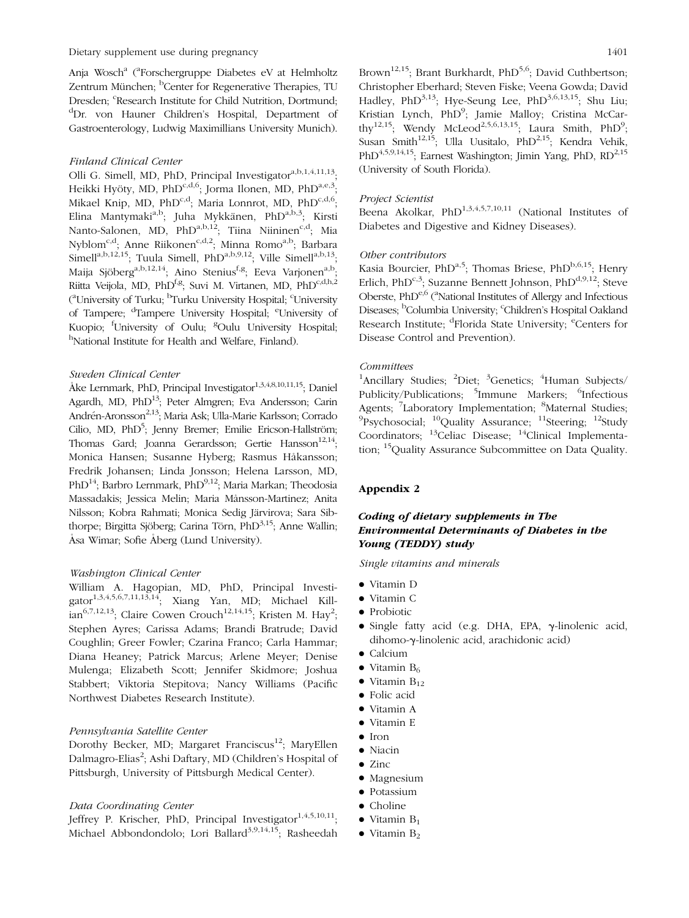Anja Wosch<sup>a</sup> (<sup>a</sup>Forschergruppe Diabetes eV at Helmholtz Zentrum München; <sup>b</sup>Center for Regenerative Therapies, TU Dresden; <sup>c</sup>Research Institute for Child Nutrition, Dortmund; d Dr. von Hauner Children's Hospital, Department of Gastroenterology, Ludwig Maximillians University Munich).

## Finland Clinical Center

Olli G. Simell, MD, PhD, Principal Investigator<sup>a,b,1,4,11,13</sup>; Heikki Hyöty, MD, PhD<sup>c,d,6</sup>; Jorma Ilonen, MD, PhD<sup>a,e,3</sup>; Mikael Knip, MD, PhD<sup>c,d</sup>; Maria Lonnrot, MD, PhD<sup>c,d,6</sup>; Elina Mantymaki<sup>a,b</sup>; Juha Mykkänen, PhD<sup>a,b,3</sup>; Kirsti Elina mantymani , juna mynhanon,  $\overline{\phantom{a}}$ .<br>Nanto-Salonen, MD, PhD<sup>a,b,12</sup>; Tiina Niininen<sup>c,d</sup>; Mia Nyblom<sup>c,d</sup>; Anne Riikonen<sup>c,d,2</sup>; Minna Romo<sup>a,b</sup>; Barbara Simell<sup>a,b,12,15</sup>; Tuula Simell, PhD<sup>a,b,9,12</sup>; Ville Simell<sup>a,b,13</sup>; Maija Sjöberg<sup>a,b,12,14</sup>; Aino Stenius<sup>f,g</sup>; Eeva Varjonen<sup>a,b</sup>; Riitta Veijola, MD, PhD<sup>f,g</sup>; Suvi M. Virtanen, MD, PhD<sup>c,d,h,2</sup> <sup>(a</sup>University of Turku; <sup>b</sup>Turku University Hospital; <sup>c</sup>University of Tampere; <sup>d</sup>Tampere University Hospital; <sup>e</sup>University of Kuopio; <sup>f</sup>University of Oulu; <sup>g</sup>Oulu University Hospital; <sup>h</sup>National Institute for Health and Welfare, Finland).

## Sweden Clinical Center

Åke Lernmark, PhD, Principal Investigator<sup>1,3,4,8,10,11,15</sup>; Daniel Agardh, MD, PhD<sup>13</sup>; Peter Almgren; Eva Andersson; Carin Andrén-Aronsson<sup>2,13</sup>; Maria Ask; Ulla-Marie Karlsson; Corrado Cilio, MD, PhD<sup>5</sup>; Jenny Bremer; Emilie Ericson-Hallström; Thomas Gard; Joanna Gerardsson; Gertie Hansson<sup>12,14</sup>: Monica Hansen; Susanne Hyberg; Rasmus Håkansson; Fredrik Johansen; Linda Jonsson; Helena Larsson, MD, PhD<sup>14</sup>; Barbro Lernmark, PhD<sup>9,12</sup>; Maria Markan; Theodosia Massadakis; Jessica Melin; Maria Månsson-Martinez; Anita Nilsson; Kobra Rahmati; Monica Sedig Järvirova; Sara Sibthorpe; Birgitta Sjöberg; Carina Törn, PhD<sup>3,15</sup>; Anne Wallin; Åsa Wimar; Sofie Åberg (Lund University).

#### Washington Clinical Center

William A. Hagopian, MD, PhD, Principal Investigator<sup>1,3,4,5,6,7,11,13,14</sup>; Xiang Yan, MD; Michael Kill- $\text{tan}^{6,7,12,13}$ ; Claire Cowen Crouch $^{12,14,15}$ ; Kristen M. Hay<sup>2</sup>; Stephen Ayres; Carissa Adams; Brandi Bratrude; David Coughlin; Greer Fowler; Czarina Franco; Carla Hammar; Diana Heaney; Patrick Marcus; Arlene Meyer; Denise Mulenga; Elizabeth Scott; Jennifer Skidmore; Joshua Stabbert; Viktoria Stepitova; Nancy Williams (Pacific Northwest Diabetes Research Institute).

## Pennsylvania Satellite Center

Dorothy Becker, MD; Margaret Franciscus<sup>12</sup>; MaryEllen Dalmagro-Elias<sup>2</sup>; Ashi Daftary, MD (Children's Hospital of Pittsburgh, University of Pittsburgh Medical Center).

## Data Coordinating Center

Jeffrey P. Krischer, PhD, Principal Investigator<sup>1,4,5,10,11</sup>; Michael Abbondondolo; Lori Ballard<sup>3,9,14,15</sup>; Rasheedah

Brown<sup>12,15</sup>; Brant Burkhardt, PhD<sup>5,6</sup>; David Cuthbertson; Christopher Eberhard; Steven Fiske; Veena Gowda; David Hadley, PhD<sup>3,13</sup>; Hye-Seung Lee, PhD<sup>3,6,13,15</sup>; Shu Liu; Kristian Lynch, PhD<sup>9</sup>; Jamie Malloy; Cristina McCarthy<sup>12,15</sup>; Wendy McLeod<sup>2,5,6,13,15</sup>; Laura Smith, PhD<sup>9</sup>; Susan Smith $12,15$ ; Ulla Uusitalo, PhD<sup>2,15</sup>; Kendra Vehik, PhD<sup>4,5,9,14,15</sup>; Earnest Washington; Jimin Yang, PhD,  $RD^{2,15}$ (University of South Florida).

#### Project Scientist

Beena Akolkar,  $PhD^{1,3,4,5,7,10,11}$  (National Institutes of Diabetes and Digestive and Kidney Diseases).

## Other contributors

Kasia Bourcier, PhD<sup>a,5</sup>; Thomas Briese, PhD<sup>b,6,15</sup>; Henry Erlich, PhD<sup>c,3</sup>; Suzanne Bennett Johnson, PhD<sup>d,9,12</sup>; Steve Oberste, PhD<sup>e,6</sup> (<sup>a</sup>National Institutes of Allergy and Infectious Diseases; <sup>b</sup>Columbia University; <sup>c</sup>Children's Hospital Oakland Research Institute; <sup>d</sup>Florida State University; <sup>e</sup>Centers for Disease Control and Prevention).

## Committees

<sup>1</sup>Ancillary Studies; <sup>2</sup>Diet; <sup>3</sup>Genetics; <sup>4</sup>Human Subjects/ Publicity/Publications; <sup>5</sup>Immune Markers; <sup>6</sup>Infectious Agents; <sup>7</sup>Laboratory Implementation; <sup>8</sup>Maternal Studies; <sup>9</sup>Psychosocial; <sup>10</sup>Quality Assurance; <sup>11</sup>Steering; <sup>12</sup>Study Coordinators; <sup>13</sup>Celiac Disease; <sup>14</sup>Clinical Implementation; <sup>15</sup>Quality Assurance Subcommittee on Data Quality.

## Appendix 2

# Coding of dietary supplements in The Environmental Determinants of Diabetes in the Young (TEDDY) study

Single vitamins and minerals

- Vitamin D
- <sup>&</sup>gt; Vitamin C
- <sup>&</sup>gt; Probiotic
- <sup>&</sup>gt; Single fatty acid (e.g. DHA, EPA, g-linolenic acid, dihomo-g-linolenic acid, arachidonic acid)
- <sup>&</sup>gt; Calcium
- $\bullet$  Vitamin  $B_6$
- $\bullet$  Vitamin  $B_{12}$
- <sup>&</sup>gt; Folic acid
- <sup>&</sup>gt; Vitamin A
- <sup>&</sup>gt; Vitamin E
- <sup>&</sup>gt; Iron
- <sup>&</sup>gt; Niacin
- Zinc
- <sup>&</sup>gt; Magnesium
- <sup>&</sup>gt; Potassium
- <sup>&</sup>gt; Choline
- $\bullet$  Vitamin  $B_1$
- $\bullet$  Vitamin  $B_2$